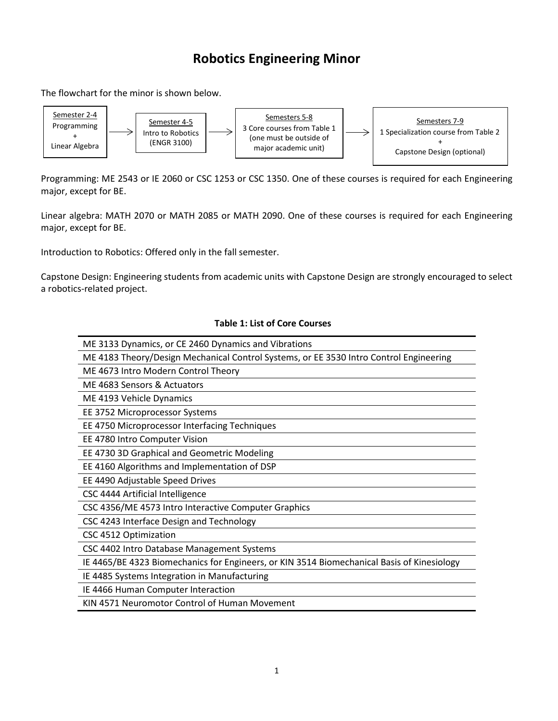## **Robotics Engineering Minor**

The flowchart for the minor is shown below.



Programming: ME 2543 or IE 2060 or CSC 1253 or CSC 1350. One of these courses is required for each Engineering major, except for BE.

Linear algebra: MATH 2070 or MATH 2085 or MATH 2090. One of these courses is required for each Engineering major, except for BE.

Introduction to Robotics: Offered only in the fall semester.

Capstone Design: Engineering students from academic units with Capstone Design are strongly encouraged to select a robotics-related project.

## **Table 1: List of Core Courses**

| ME 3133 Dynamics, or CE 2460 Dynamics and Vibrations                                       |
|--------------------------------------------------------------------------------------------|
| ME 4183 Theory/Design Mechanical Control Systems, or EE 3530 Intro Control Engineering     |
| ME 4673 Intro Modern Control Theory                                                        |
| ME 4683 Sensors & Actuators                                                                |
| ME 4193 Vehicle Dynamics                                                                   |
| EE 3752 Microprocessor Systems                                                             |
| EE 4750 Microprocessor Interfacing Techniques                                              |
| EE 4780 Intro Computer Vision                                                              |
| EE 4730 3D Graphical and Geometric Modeling                                                |
| EE 4160 Algorithms and Implementation of DSP                                               |
| EE 4490 Adjustable Speed Drives                                                            |
| CSC 4444 Artificial Intelligence                                                           |
| CSC 4356/ME 4573 Intro Interactive Computer Graphics                                       |
| CSC 4243 Interface Design and Technology                                                   |
| CSC 4512 Optimization                                                                      |
| CSC 4402 Intro Database Management Systems                                                 |
| IE 4465/BE 4323 Biomechanics for Engineers, or KIN 3514 Biomechanical Basis of Kinesiology |
| IE 4485 Systems Integration in Manufacturing                                               |
| IE 4466 Human Computer Interaction                                                         |
| KIN 4571 Neuromotor Control of Human Movement                                              |
|                                                                                            |